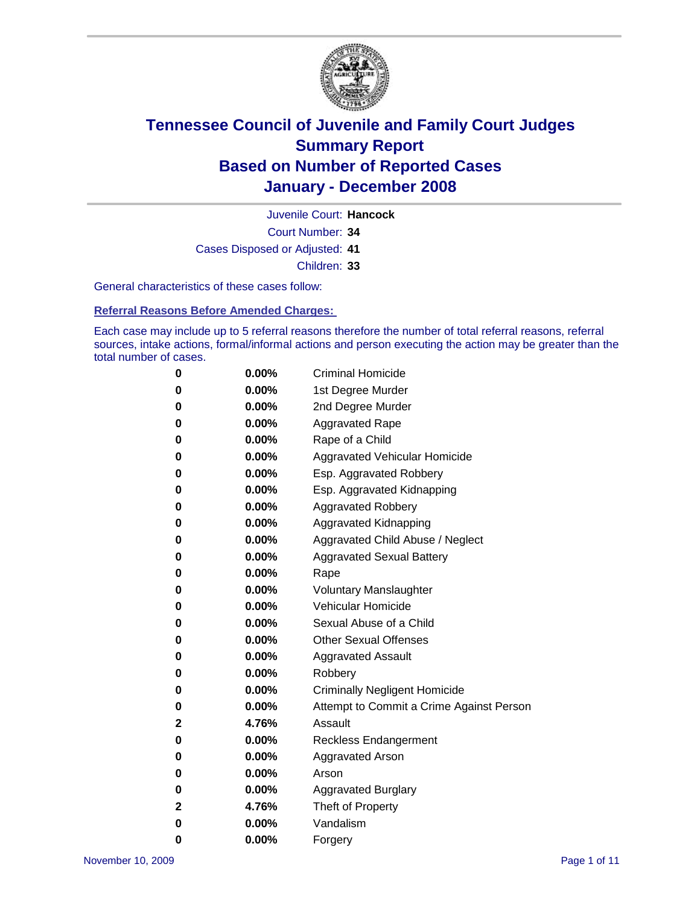

Court Number: **34** Juvenile Court: **Hancock** Cases Disposed or Adjusted: **41** Children: **33**

General characteristics of these cases follow:

**Referral Reasons Before Amended Charges:** 

Each case may include up to 5 referral reasons therefore the number of total referral reasons, referral sources, intake actions, formal/informal actions and person executing the action may be greater than the total number of cases.

| 0            | $0.00\%$ | <b>Criminal Homicide</b>                 |
|--------------|----------|------------------------------------------|
| 0            | 0.00%    | 1st Degree Murder                        |
| 0            | $0.00\%$ | 2nd Degree Murder                        |
| 0            | $0.00\%$ | <b>Aggravated Rape</b>                   |
| 0            | $0.00\%$ | Rape of a Child                          |
| 0            | 0.00%    | Aggravated Vehicular Homicide            |
| 0            | $0.00\%$ | Esp. Aggravated Robbery                  |
| 0            | $0.00\%$ | Esp. Aggravated Kidnapping               |
| 0            | 0.00%    | <b>Aggravated Robbery</b>                |
| 0            | $0.00\%$ | Aggravated Kidnapping                    |
| 0            | $0.00\%$ | Aggravated Child Abuse / Neglect         |
| 0            | $0.00\%$ | <b>Aggravated Sexual Battery</b>         |
| 0            | 0.00%    | Rape                                     |
| 0            | $0.00\%$ | <b>Voluntary Manslaughter</b>            |
| 0            | $0.00\%$ | Vehicular Homicide                       |
| 0            | $0.00\%$ | Sexual Abuse of a Child                  |
| 0            | $0.00\%$ | <b>Other Sexual Offenses</b>             |
| 0            | $0.00\%$ | Aggravated Assault                       |
| 0            | $0.00\%$ | Robbery                                  |
| 0            | $0.00\%$ | <b>Criminally Negligent Homicide</b>     |
| 0            | $0.00\%$ | Attempt to Commit a Crime Against Person |
| $\mathbf{2}$ | 4.76%    | Assault                                  |
| 0            | $0.00\%$ | Reckless Endangerment                    |
| 0            | $0.00\%$ | <b>Aggravated Arson</b>                  |
| 0            | $0.00\%$ | Arson                                    |
| 0            | $0.00\%$ | <b>Aggravated Burglary</b>               |
| 2            | 4.76%    | Theft of Property                        |
| 0            | $0.00\%$ | Vandalism                                |
| 0            | 0.00%    | Forgery                                  |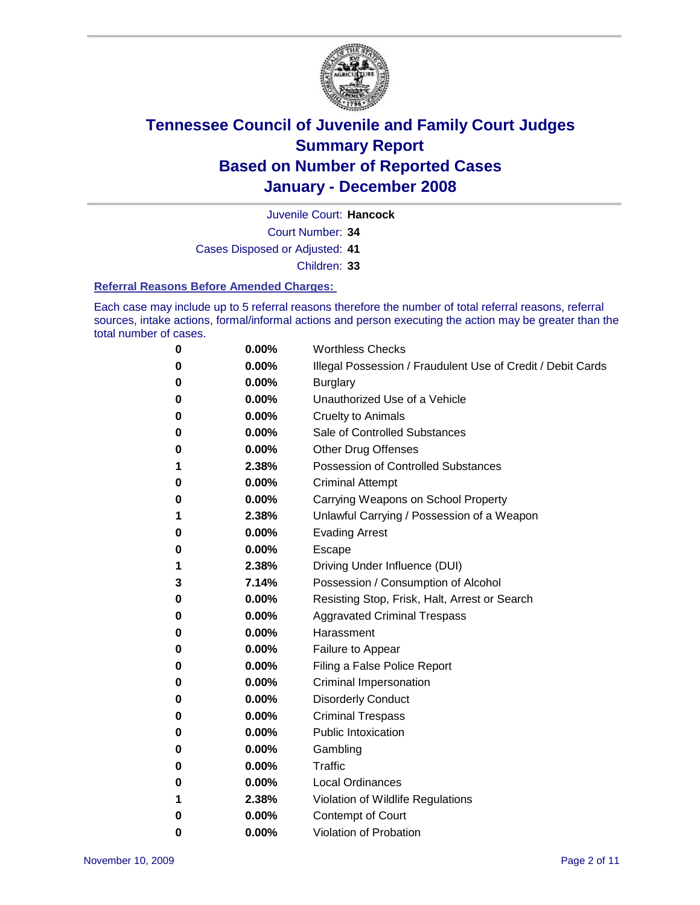

Juvenile Court: **Hancock**

Court Number: **34**

Cases Disposed or Adjusted: **41**

Children: **33**

#### **Referral Reasons Before Amended Charges:**

Each case may include up to 5 referral reasons therefore the number of total referral reasons, referral sources, intake actions, formal/informal actions and person executing the action may be greater than the total number of cases.

| 0 | 0.00% | <b>Worthless Checks</b>                                     |
|---|-------|-------------------------------------------------------------|
| 0 | 0.00% | Illegal Possession / Fraudulent Use of Credit / Debit Cards |
| 0 | 0.00% | <b>Burglary</b>                                             |
| 0 | 0.00% | Unauthorized Use of a Vehicle                               |
| 0 | 0.00% | <b>Cruelty to Animals</b>                                   |
| 0 | 0.00% | Sale of Controlled Substances                               |
| 0 | 0.00% | <b>Other Drug Offenses</b>                                  |
| 1 | 2.38% | <b>Possession of Controlled Substances</b>                  |
| 0 | 0.00% | <b>Criminal Attempt</b>                                     |
| 0 | 0.00% | Carrying Weapons on School Property                         |
| 1 | 2.38% | Unlawful Carrying / Possession of a Weapon                  |
| 0 | 0.00% | <b>Evading Arrest</b>                                       |
| 0 | 0.00% | Escape                                                      |
| 1 | 2.38% | Driving Under Influence (DUI)                               |
| 3 | 7.14% | Possession / Consumption of Alcohol                         |
| 0 | 0.00% | Resisting Stop, Frisk, Halt, Arrest or Search               |
| 0 | 0.00% | <b>Aggravated Criminal Trespass</b>                         |
| 0 | 0.00% | Harassment                                                  |
| 0 | 0.00% | Failure to Appear                                           |
| 0 | 0.00% | Filing a False Police Report                                |
| 0 | 0.00% | Criminal Impersonation                                      |
| 0 | 0.00% | <b>Disorderly Conduct</b>                                   |
| 0 | 0.00% | <b>Criminal Trespass</b>                                    |
| 0 | 0.00% | <b>Public Intoxication</b>                                  |
| 0 | 0.00% | Gambling                                                    |
| 0 | 0.00% | Traffic                                                     |
| 0 | 0.00% | <b>Local Ordinances</b>                                     |
| 1 | 2.38% | Violation of Wildlife Regulations                           |
| 0 | 0.00% | Contempt of Court                                           |
| 0 | 0.00% | <b>Violation of Probation</b>                               |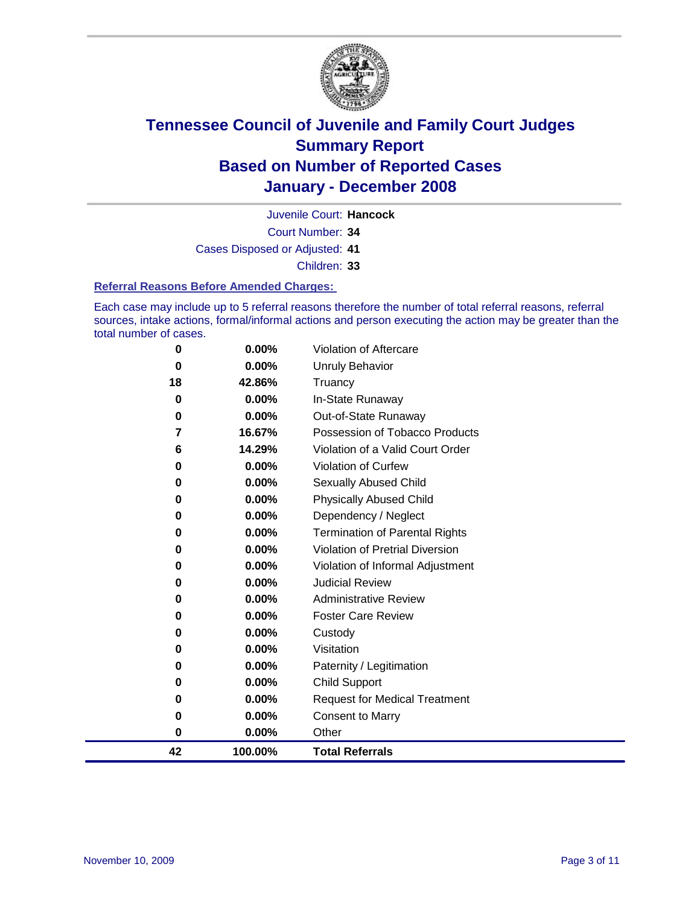

Court Number: **34** Juvenile Court: **Hancock** Cases Disposed or Adjusted: **41** Children: **33**

#### **Referral Reasons Before Amended Charges:**

Each case may include up to 5 referral reasons therefore the number of total referral reasons, referral sources, intake actions, formal/informal actions and person executing the action may be greater than the total number of cases.

| 0  | $0.00\%$ | Violation of Aftercare                 |
|----|----------|----------------------------------------|
| 0  | 0.00%    | <b>Unruly Behavior</b>                 |
| 18 | 42.86%   | Truancy                                |
| 0  | 0.00%    | In-State Runaway                       |
| 0  | 0.00%    | Out-of-State Runaway                   |
| 7  | 16.67%   | Possession of Tobacco Products         |
| 6  | 14.29%   | Violation of a Valid Court Order       |
| 0  | 0.00%    | Violation of Curfew                    |
| 0  | 0.00%    | <b>Sexually Abused Child</b>           |
| 0  | 0.00%    | <b>Physically Abused Child</b>         |
| 0  | 0.00%    | Dependency / Neglect                   |
| 0  | $0.00\%$ | <b>Termination of Parental Rights</b>  |
| 0  | $0.00\%$ | <b>Violation of Pretrial Diversion</b> |
| 0  | 0.00%    | Violation of Informal Adjustment       |
| 0  | 0.00%    | <b>Judicial Review</b>                 |
| 0  | 0.00%    | <b>Administrative Review</b>           |
| 0  | $0.00\%$ | <b>Foster Care Review</b>              |
| 0  | 0.00%    | Custody                                |
| 0  | 0.00%    | Visitation                             |
| 0  | 0.00%    | Paternity / Legitimation               |
| 0  | 0.00%    | <b>Child Support</b>                   |
| 0  | 0.00%    | <b>Request for Medical Treatment</b>   |
| 0  | 0.00%    | <b>Consent to Marry</b>                |
| 0  | 0.00%    | Other                                  |
| 42 | 100.00%  | <b>Total Referrals</b>                 |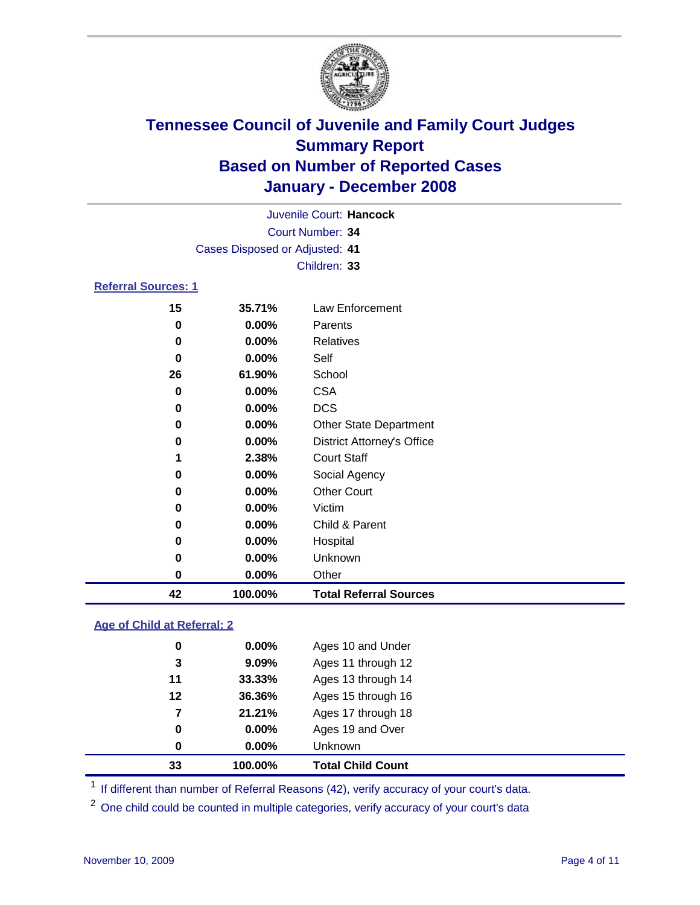

|                            |                                | Juvenile Court: Hancock           |
|----------------------------|--------------------------------|-----------------------------------|
|                            |                                | Court Number: 34                  |
|                            | Cases Disposed or Adjusted: 41 |                                   |
|                            |                                | Children: 33                      |
| <b>Referral Sources: 1</b> |                                |                                   |
| 15                         | 35.71%                         | Law Enforcement                   |
| 0                          | 0.00%                          | Parents                           |
| $\bf{0}$                   | $0.00\%$                       | <b>Relatives</b>                  |
| 0                          | $0.00\%$                       | Self                              |
| 26                         | 61.90%                         | School                            |
| $\bf{0}$                   | 0.00%                          | <b>CSA</b>                        |
| 0                          | $0.00\%$                       | <b>DCS</b>                        |
| 0                          | $0.00\%$                       | <b>Other State Department</b>     |
| 0                          | $0.00\%$                       | <b>District Attorney's Office</b> |
| 1                          | 2.38%                          | <b>Court Staff</b>                |
| 0                          | 0.00%                          | Social Agency                     |
| 0                          | $0.00\%$                       | <b>Other Court</b>                |
| 0                          | $0.00\%$                       | Victim                            |
| 0                          | $0.00\%$                       | Child & Parent                    |
| 0                          | $0.00\%$                       | Hospital                          |
| 0                          | $0.00\%$                       | Unknown                           |
| 0                          | 0.00%                          | Other                             |

### **Age of Child at Referral: 2**

| 33 | 100.00%  | <b>Total Child Count</b> |
|----|----------|--------------------------|
| 0  | 0.00%    | <b>Unknown</b>           |
| 0  | 0.00%    | Ages 19 and Over         |
| 7  | 21.21%   | Ages 17 through 18       |
| 12 | 36.36%   | Ages 15 through 16       |
| 11 | 33.33%   | Ages 13 through 14       |
| 3  | 9.09%    | Ages 11 through 12       |
| 0  | $0.00\%$ | Ages 10 and Under        |
|    |          |                          |

<sup>1</sup> If different than number of Referral Reasons (42), verify accuracy of your court's data.

**100.00% Total Referral Sources**

<sup>2</sup> One child could be counted in multiple categories, verify accuracy of your court's data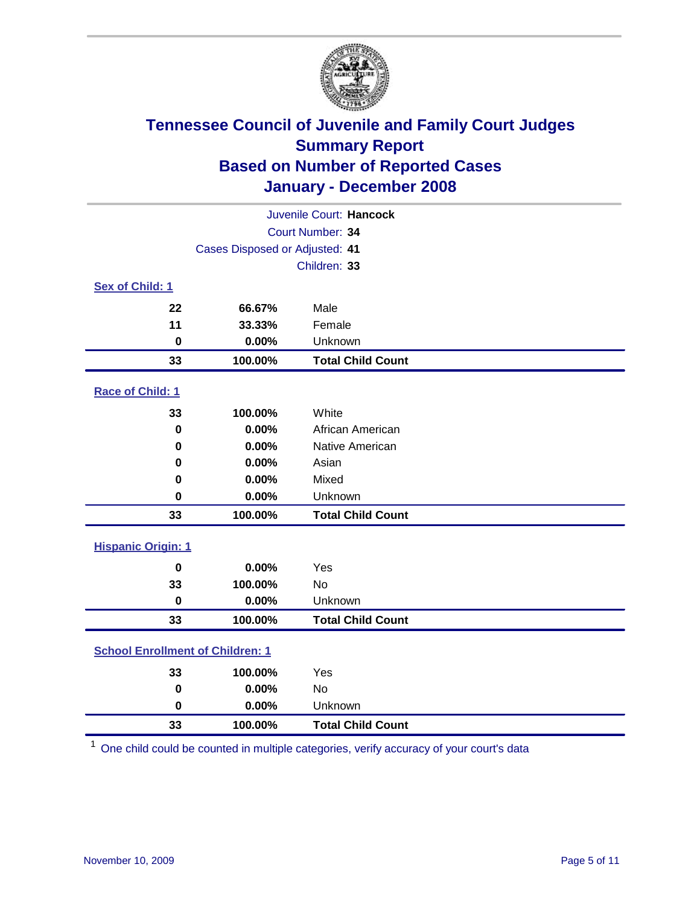

| Juvenile Court: Hancock                 |                                |                          |  |  |  |
|-----------------------------------------|--------------------------------|--------------------------|--|--|--|
| Court Number: 34                        |                                |                          |  |  |  |
|                                         | Cases Disposed or Adjusted: 41 |                          |  |  |  |
|                                         |                                | Children: 33             |  |  |  |
| Sex of Child: 1                         |                                |                          |  |  |  |
| 22                                      | 66.67%                         | Male                     |  |  |  |
| 11                                      | 33.33%                         | Female                   |  |  |  |
| 0                                       | 0.00%                          | Unknown                  |  |  |  |
| 33                                      | 100.00%                        | <b>Total Child Count</b> |  |  |  |
| Race of Child: 1                        |                                |                          |  |  |  |
| 33                                      | 100.00%                        | White                    |  |  |  |
| $\mathbf 0$                             | 0.00%                          | African American         |  |  |  |
| 0                                       | 0.00%                          | Native American          |  |  |  |
| 0                                       | 0.00%                          | Asian                    |  |  |  |
| 0                                       | 0.00%                          | Mixed                    |  |  |  |
| 0                                       | 0.00%                          | Unknown                  |  |  |  |
| 33                                      | 100.00%                        | <b>Total Child Count</b> |  |  |  |
| <b>Hispanic Origin: 1</b>               |                                |                          |  |  |  |
| $\bf{0}$                                | 0.00%                          | Yes                      |  |  |  |
| 33                                      | 100.00%                        | <b>No</b>                |  |  |  |
| $\bf{0}$                                | 0.00%                          | Unknown                  |  |  |  |
| 33                                      | 100.00%                        | <b>Total Child Count</b> |  |  |  |
| <b>School Enrollment of Children: 1</b> |                                |                          |  |  |  |
| 33                                      | 100.00%                        | Yes                      |  |  |  |
| 0                                       | 0.00%                          | <b>No</b>                |  |  |  |
| 0                                       | 0.00%                          | Unknown                  |  |  |  |
| 33                                      | 100.00%                        | <b>Total Child Count</b> |  |  |  |

One child could be counted in multiple categories, verify accuracy of your court's data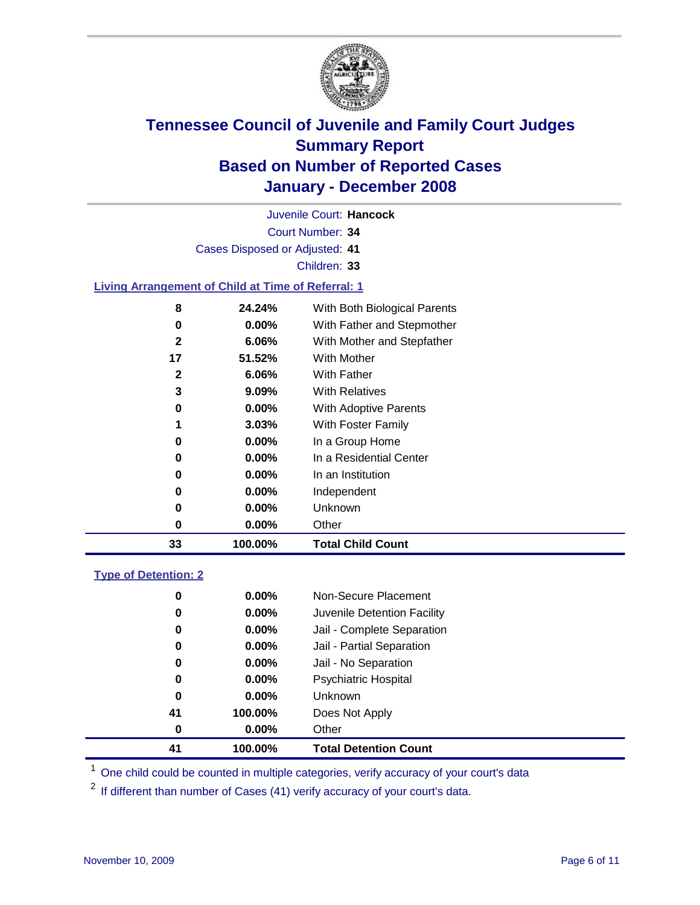

Court Number: **34** Juvenile Court: **Hancock** Cases Disposed or Adjusted: **41** Children: **33 Living Arrangement of Child at Time of Referral: 1 24.24%** With Both Biological Parents **0.00%** With Father and Stepmother **6.06%** With Mother and Stepfather **51.52%** With Mother **6.06%** With Father **9.09%** With Relatives **0.00%** With Adoptive Parents **3.03%** With Foster Family **0.00%** In a Group Home **0.00%** In a Residential Center **0.00%** In an Institution

| 33 | 100.00%  | <b>Total Child Count</b> |
|----|----------|--------------------------|
|    | $0.00\%$ | Other                    |
| 0  | $0.00\%$ | Unknown                  |
| 0  | $0.00\%$ | Independent              |
|    |          |                          |

### **Type of Detention: 2**

| 41 | 100.00%  | <b>Total Detention Count</b> |  |
|----|----------|------------------------------|--|
| 0  | $0.00\%$ | Other                        |  |
| 41 | 100.00%  | Does Not Apply               |  |
| 0  | $0.00\%$ | <b>Unknown</b>               |  |
| 0  | 0.00%    | Psychiatric Hospital         |  |
| 0  | 0.00%    | Jail - No Separation         |  |
| 0  | $0.00\%$ | Jail - Partial Separation    |  |
| 0  | 0.00%    | Jail - Complete Separation   |  |
| 0  | 0.00%    | Juvenile Detention Facility  |  |
| 0  | $0.00\%$ | Non-Secure Placement         |  |
|    |          |                              |  |

<sup>1</sup> One child could be counted in multiple categories, verify accuracy of your court's data

<sup>2</sup> If different than number of Cases (41) verify accuracy of your court's data.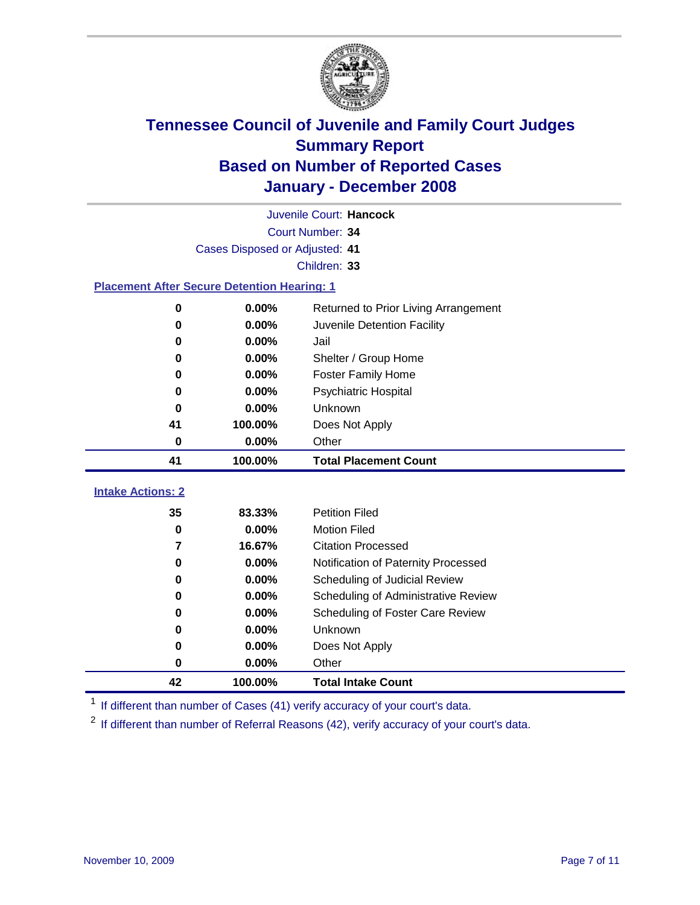

| Juvenile Court: Hancock                            |                                |                                      |  |  |  |
|----------------------------------------------------|--------------------------------|--------------------------------------|--|--|--|
|                                                    | Court Number: 34               |                                      |  |  |  |
|                                                    | Cases Disposed or Adjusted: 41 |                                      |  |  |  |
|                                                    |                                | Children: 33                         |  |  |  |
| <b>Placement After Secure Detention Hearing: 1</b> |                                |                                      |  |  |  |
| 0                                                  | 0.00%                          | Returned to Prior Living Arrangement |  |  |  |
| 0                                                  | 0.00%                          | Juvenile Detention Facility          |  |  |  |
| 0                                                  | 0.00%                          | Jail                                 |  |  |  |
| 0                                                  | 0.00%                          | Shelter / Group Home                 |  |  |  |
| 0                                                  | 0.00%                          | <b>Foster Family Home</b>            |  |  |  |
| $\bf{0}$                                           | 0.00%                          | Psychiatric Hospital                 |  |  |  |
| 0                                                  | 0.00%                          | Unknown                              |  |  |  |
| 41                                                 | 100.00%                        | Does Not Apply                       |  |  |  |
| 0.00%<br>0<br>Other                                |                                |                                      |  |  |  |
|                                                    |                                |                                      |  |  |  |
| 41                                                 | 100.00%                        | <b>Total Placement Count</b>         |  |  |  |
| <b>Intake Actions: 2</b>                           |                                |                                      |  |  |  |
| 35                                                 | 83.33%                         | <b>Petition Filed</b>                |  |  |  |
| 0                                                  | 0.00%                          | <b>Motion Filed</b>                  |  |  |  |
| 7                                                  | 16.67%                         | <b>Citation Processed</b>            |  |  |  |
| 0                                                  | 0.00%                          | Notification of Paternity Processed  |  |  |  |
| 0                                                  | 0.00%                          | Scheduling of Judicial Review        |  |  |  |
| 0                                                  | 0.00%                          | Scheduling of Administrative Review  |  |  |  |
| 0                                                  | 0.00%                          | Scheduling of Foster Care Review     |  |  |  |
| 0                                                  | 0.00%                          | Unknown                              |  |  |  |
| 0                                                  | 0.00%                          | Does Not Apply                       |  |  |  |
| $\bf{0}$                                           | 0.00%                          | Other                                |  |  |  |

<sup>1</sup> If different than number of Cases (41) verify accuracy of your court's data.

<sup>2</sup> If different than number of Referral Reasons (42), verify accuracy of your court's data.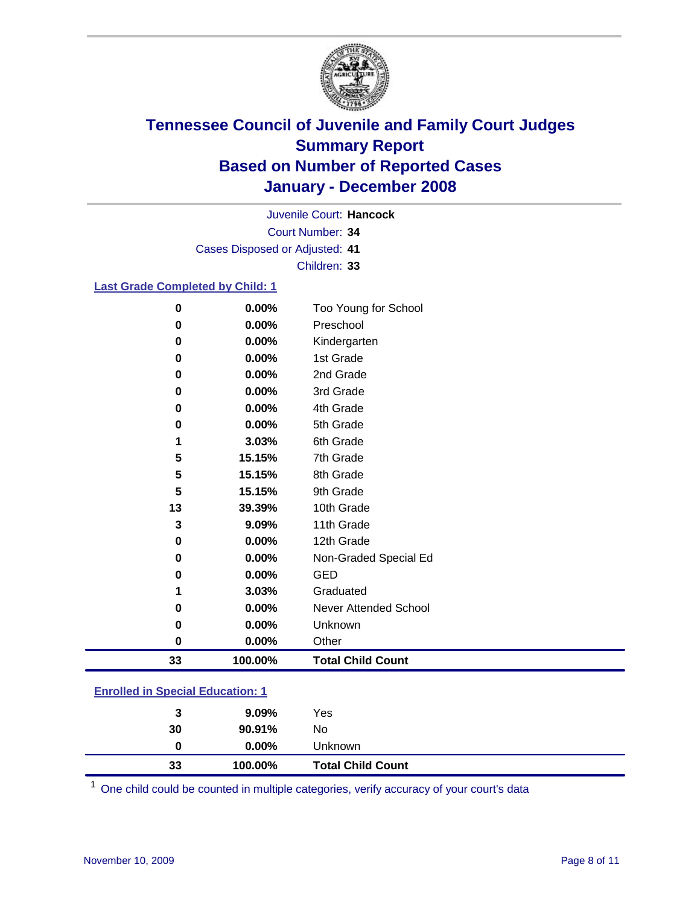

Court Number: **34** Juvenile Court: **Hancock** Cases Disposed or Adjusted: **41** Children: **33**

### **Last Grade Completed by Child: 1**

| 33 | 100.00% | <b>Total Child Count</b> |
|----|---------|--------------------------|
| 0  | 0.00%   | Other                    |
| 0  | 0.00%   | Unknown                  |
| 0  | 0.00%   | Never Attended School    |
| 1  | 3.03%   | Graduated                |
| 0  | 0.00%   | <b>GED</b>               |
| 0  | 0.00%   | Non-Graded Special Ed    |
| 0  | 0.00%   | 12th Grade               |
| 3  | 9.09%   | 11th Grade               |
| 13 | 39.39%  | 10th Grade               |
| 5  | 15.15%  | 9th Grade                |
| 5  | 15.15%  | 8th Grade                |
| 5  | 15.15%  | 7th Grade                |
| 1  | 3.03%   | 6th Grade                |
| 0  | 0.00%   | 5th Grade                |
| 0  | 0.00%   | 4th Grade                |
| 0  | 0.00%   | 3rd Grade                |
| 0  | 0.00%   | 2nd Grade                |
| 0  | 0.00%   | 1st Grade                |
| 0  | 0.00%   | Kindergarten             |
| 0  | 0.00%   | Preschool                |
| 0  | 0.00%   | Too Young for School     |

### **Enrolled in Special Education: 1**

| 33 | 100.00%  | <b>Total Child Count</b> |  |
|----|----------|--------------------------|--|
| 0  | $0.00\%$ | Unknown                  |  |
| 30 | 90.91%   | No                       |  |
| 3  | $9.09\%$ | Yes                      |  |
|    |          |                          |  |

<sup>1</sup> One child could be counted in multiple categories, verify accuracy of your court's data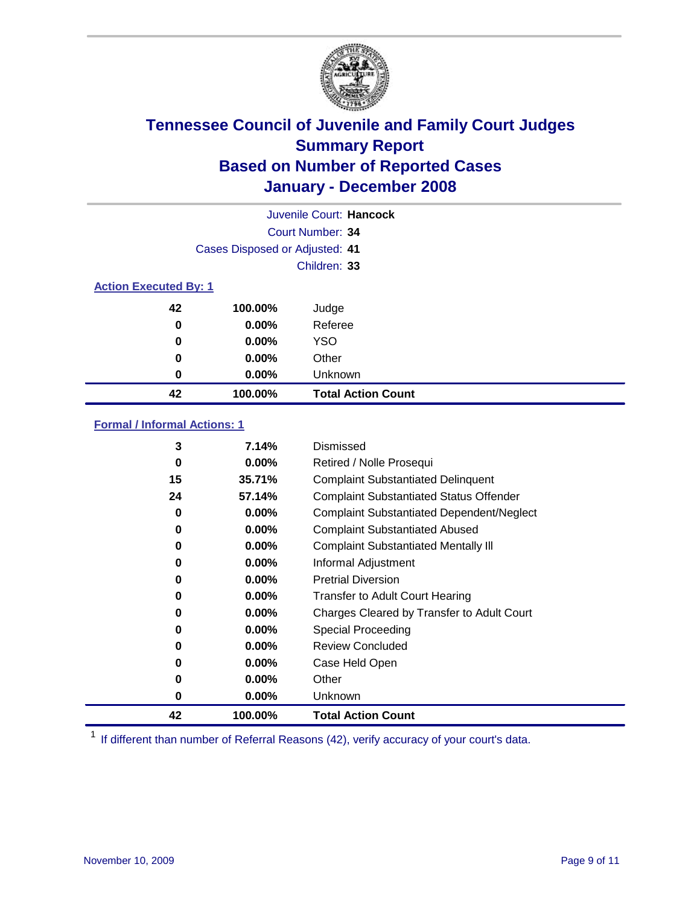

| Juvenile Court: Hancock      |                                |                           |  |  |  |
|------------------------------|--------------------------------|---------------------------|--|--|--|
|                              | Court Number: 34               |                           |  |  |  |
|                              | Cases Disposed or Adjusted: 41 |                           |  |  |  |
|                              |                                | Children: 33              |  |  |  |
| <b>Action Executed By: 1</b> |                                |                           |  |  |  |
| 42                           | 100.00%                        | Judge                     |  |  |  |
| 0                            | $0.00\%$                       | Referee                   |  |  |  |
| 0                            | $0.00\%$                       | <b>YSO</b>                |  |  |  |
| 0                            | 0.00%                          | Other                     |  |  |  |
| 0                            | 0.00%                          | Unknown                   |  |  |  |
| 42                           | 100.00%                        | <b>Total Action Count</b> |  |  |  |

### **Formal / Informal Actions: 1**

| 3  | 7.14%    | Dismissed                                        |
|----|----------|--------------------------------------------------|
| 0  | $0.00\%$ | Retired / Nolle Prosequi                         |
| 15 | 35.71%   | <b>Complaint Substantiated Delinquent</b>        |
| 24 | 57.14%   | <b>Complaint Substantiated Status Offender</b>   |
| 0  | $0.00\%$ | <b>Complaint Substantiated Dependent/Neglect</b> |
| 0  | $0.00\%$ | <b>Complaint Substantiated Abused</b>            |
| 0  | $0.00\%$ | <b>Complaint Substantiated Mentally III</b>      |
| 0  | $0.00\%$ | Informal Adjustment                              |
| 0  | $0.00\%$ | <b>Pretrial Diversion</b>                        |
| 0  | $0.00\%$ | <b>Transfer to Adult Court Hearing</b>           |
| 0  | $0.00\%$ | Charges Cleared by Transfer to Adult Court       |
| 0  | $0.00\%$ | Special Proceeding                               |
| 0  | $0.00\%$ | <b>Review Concluded</b>                          |
| 0  | $0.00\%$ | Case Held Open                                   |
| 0  | $0.00\%$ | Other                                            |
| 0  | $0.00\%$ | Unknown                                          |
| 42 | 100.00%  | <b>Total Action Count</b>                        |

<sup>1</sup> If different than number of Referral Reasons (42), verify accuracy of your court's data.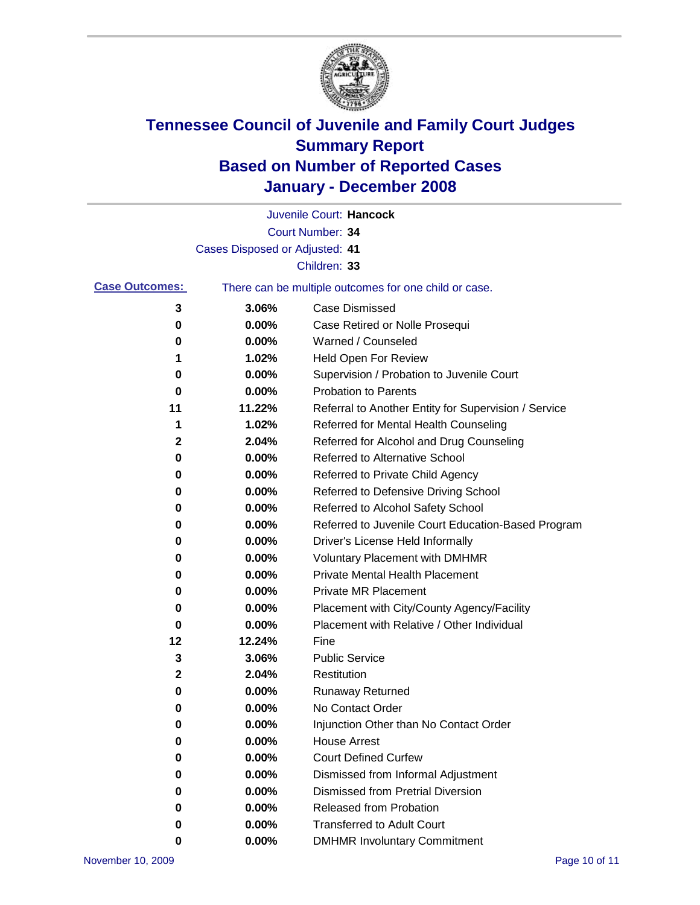

|                       |                                | Juvenile Court: Hancock                               |
|-----------------------|--------------------------------|-------------------------------------------------------|
|                       |                                | Court Number: 34                                      |
|                       | Cases Disposed or Adjusted: 41 |                                                       |
|                       |                                | Children: 33                                          |
| <b>Case Outcomes:</b> |                                | There can be multiple outcomes for one child or case. |
| 3                     | 3.06%                          | <b>Case Dismissed</b>                                 |
| 0                     | 0.00%                          | Case Retired or Nolle Prosequi                        |
| 0                     | 0.00%                          | Warned / Counseled                                    |
| 1                     | 1.02%                          | <b>Held Open For Review</b>                           |
| 0                     | 0.00%                          | Supervision / Probation to Juvenile Court             |
| 0                     | 0.00%                          | <b>Probation to Parents</b>                           |
| 11                    | 11.22%                         | Referral to Another Entity for Supervision / Service  |
| 1                     | 1.02%                          | Referred for Mental Health Counseling                 |
| 2                     | 2.04%                          | Referred for Alcohol and Drug Counseling              |
| 0                     | 0.00%                          | Referred to Alternative School                        |
| 0                     | 0.00%                          | Referred to Private Child Agency                      |
| 0                     | 0.00%                          | Referred to Defensive Driving School                  |
| 0                     | 0.00%                          | Referred to Alcohol Safety School                     |
| 0                     | 0.00%                          | Referred to Juvenile Court Education-Based Program    |
| 0                     | 0.00%                          | Driver's License Held Informally                      |
| 0                     | 0.00%                          | <b>Voluntary Placement with DMHMR</b>                 |
| 0                     | 0.00%                          | <b>Private Mental Health Placement</b>                |
| 0                     | 0.00%                          | <b>Private MR Placement</b>                           |
| 0                     | 0.00%                          | Placement with City/County Agency/Facility            |
| 0                     | 0.00%                          | Placement with Relative / Other Individual            |
| 12                    | 12.24%                         | Fine                                                  |
| 3                     | 3.06%                          | <b>Public Service</b>                                 |
| 2                     | 2.04%                          | Restitution                                           |
| 0                     | 0.00%                          | <b>Runaway Returned</b>                               |
| 0                     | 0.00%                          | No Contact Order                                      |
| 0                     | 0.00%                          | Injunction Other than No Contact Order                |
| 0                     | 0.00%                          | <b>House Arrest</b>                                   |
| 0                     | 0.00%                          | <b>Court Defined Curfew</b>                           |
| 0                     | 0.00%                          | Dismissed from Informal Adjustment                    |
| 0                     | 0.00%                          | <b>Dismissed from Pretrial Diversion</b>              |
| 0                     | 0.00%                          | Released from Probation                               |
| 0                     | 0.00%                          | <b>Transferred to Adult Court</b>                     |
| 0                     | 0.00%                          | <b>DMHMR Involuntary Commitment</b>                   |